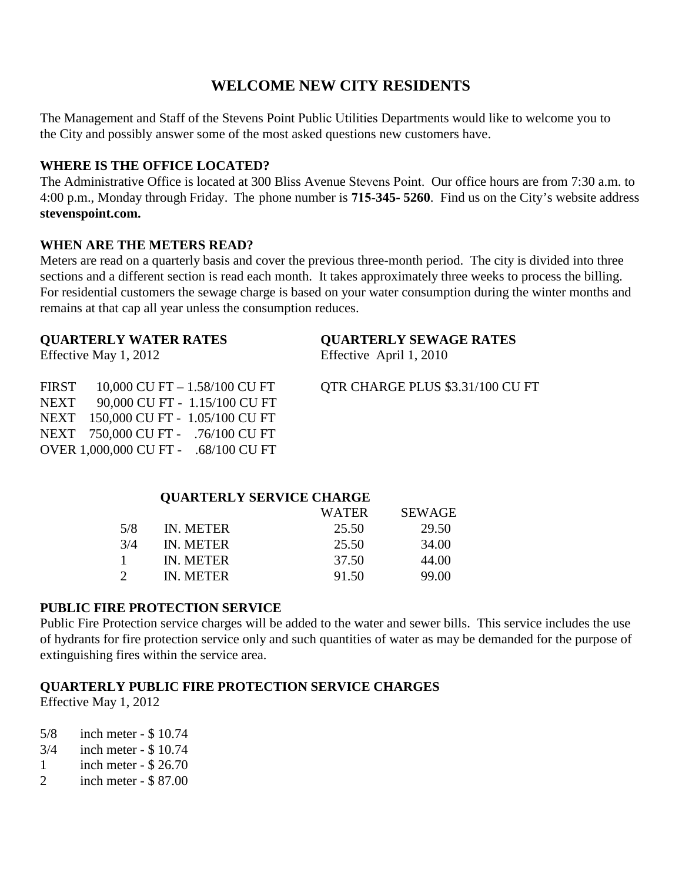## **WELCOME NEW CITY RESIDENTS**

The Management and Staff of the Stevens Point Public Utilities Departments would like to welcome you to the City and possibly answer some of the most asked questions new customers have.

## **WHERE IS THE OFFICE LOCATED?**

The Administrative Office is located at 300 Bliss Avenue Stevens Point. Our office hours are from 7:30 a.m. to 4:00 p.m., Monday through Friday. The phone number is **715**-**345- 5260**. Find us on the City's website address **stevenspoint.com.** 

### **WHEN ARE THE METERS READ?**

Meters are read on a quarterly basis and cover the previous three-month period. The city is divided into three sections and a different section is read each month. It takes approximately three weeks to process the billing. For residential customers the sewage charge is based on your water consumption during the winter months and remains at that cap all year unless the consumption reduces.

| <b>QUARTERLY WATER RATES</b><br>Effective May 1, 2012 |                                                                               | <b>OUARTERLY SEWAGE RATES</b><br>Effective April 1, 2010 |  |  |
|-------------------------------------------------------|-------------------------------------------------------------------------------|----------------------------------------------------------|--|--|
|                                                       | FIRST $10,000$ CU FT $- 1.58/100$ CU FT<br>NEXT 90,000 CU FT - 1.15/100 CU FT | OTR CHARGE PLUS \$3.31/100 CU FT                         |  |  |
|                                                       | NEXT 150,000 CU FT - 1.05/100 CU FT                                           |                                                          |  |  |

| <b>QUARTERLY SERVICE CHARGE</b> |           |       |               |  |  |  |
|---------------------------------|-----------|-------|---------------|--|--|--|
|                                 |           | WATER | <b>SEWAGE</b> |  |  |  |
| 5/8                             | IN. METER | 25.50 | 29.50         |  |  |  |
| 3/4                             | IN. METER | 25.50 | 34.00         |  |  |  |
|                                 | IN. METER | 37.50 | 44.00         |  |  |  |
|                                 | IN METER  | 91.50 | 99.00         |  |  |  |

### **PUBLIC FIRE PROTECTION SERVICE**

NEXT 750,000 CU FT - .76/100 CU FT OVER 1,000,000 CU FT - .68/100 CU FT

Public Fire Protection service charges will be added to the water and sewer bills. This service includes the use of hydrants for fire protection service only and such quantities of water as may be demanded for the purpose of extinguishing fires within the service area.

## **QUARTERLY PUBLIC FIRE PROTECTION SERVICE CHARGES**

Effective May 1, 2012

- 5/8 inch meter \$ 10.74
- 3/4 inch meter \$ 10.74
- 1 inch meter \$ 26.70
- 2 inch meter \$ 87.00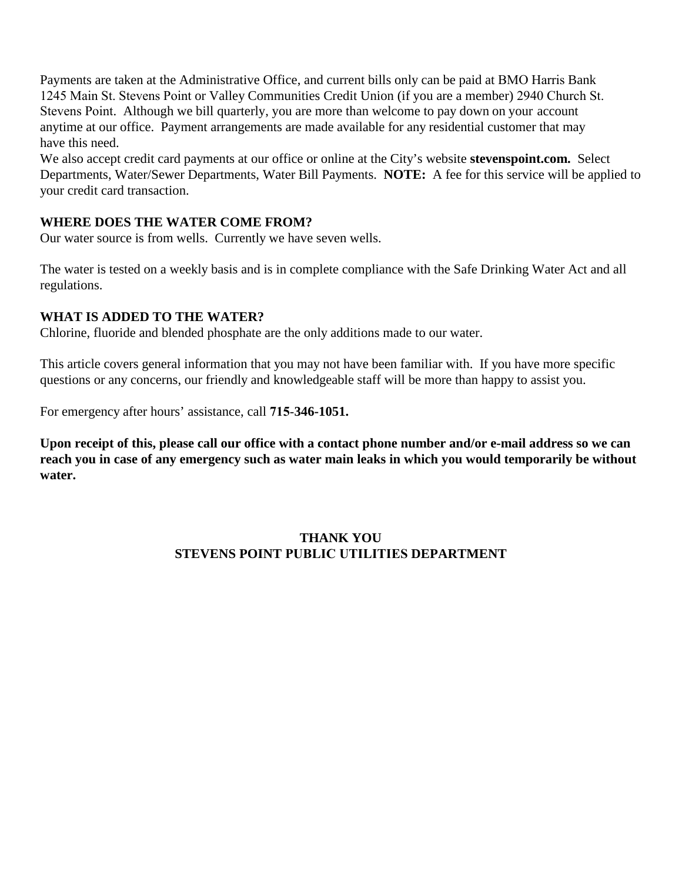Payments are taken at the Administrative Office, and current bills only can be paid at BMO Harris Bank 1245 Main St. Stevens Point or Valley Communities Credit Union (if you are a member) 2940 Church St. Stevens Point. Although we bill quarterly, you are more than welcome to pay down on your account anytime at our office. Payment arrangements are made available for any residential customer that may have this need.

We also accept credit card payments at our office or online at the City's website **stevenspoint.com.** Select Departments, Water/Sewer Departments, Water Bill Payments. **NOTE:** A fee for this service will be applied to your credit card transaction.

## **WHERE DOES THE WATER COME FROM?**

Our water source is from wells. Currently we have seven wells.

The water is tested on a weekly basis and is in complete compliance with the Safe Drinking Water Act and all regulations.

## **WHAT IS ADDED TO THE WATER?**

Chlorine, fluoride and blended phosphate are the only additions made to our water.

This article covers general information that you may not have been familiar with. If you have more specific questions or any concerns, our friendly and knowledgeable staff will be more than happy to assist you.

For emergency after hours' assistance, call **715**-**346-1051.** 

**Upon receipt of this, please call our office with a contact phone number and/or e-mail address so we can reach you in case of any emergency such as water main leaks in which you would temporarily be without water.** 

## **THANK YOU STEVENS POINT PUBLIC UTILITIES DEPARTMENT**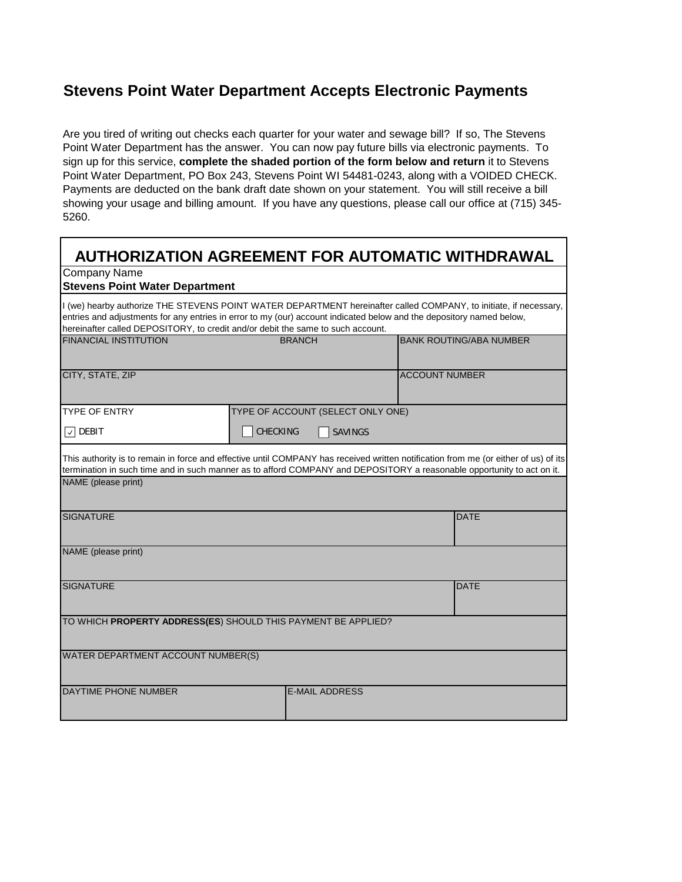## **Stevens Point Water Department Accepts Electronic Payments**

Are you tired of writing out checks each quarter for your water and sewage bill? If so, The Stevens Point Water Department has the answer. You can now pay future bills via electronic payments. To sign up for this service, **complete the shaded portion of the form below and return** it to Stevens Point Water Department, PO Box 243, Stevens Point WI 54481-0243, along with a VOIDED CHECK. Payments are deducted on the bank draft date shown on your statement. You will still receive a bill showing your usage and billing amount. If you have any questions, please call our office at (715) 345- 5260.

| <b>AUTHORIZATION AGREEMENT FOR AUTOMATIC WITHDRAWAL</b>                                                                                                                                                                                                                                                                                                                               |                                   |                       |                       |             |  |  |  |
|---------------------------------------------------------------------------------------------------------------------------------------------------------------------------------------------------------------------------------------------------------------------------------------------------------------------------------------------------------------------------------------|-----------------------------------|-----------------------|-----------------------|-------------|--|--|--|
| Company Name<br><b>Stevens Point Water Department</b><br>I (we) hearby authorize THE STEVENS POINT WATER DEPARTMENT hereinafter called COMPANY, to initiate, if necessary,<br>entries and adjustments for any entries in error to my (our) account indicated below and the depository named below,<br>hereinafter called DEPOSITORY, to credit and/or debit the same to such account. |                                   |                       |                       |             |  |  |  |
|                                                                                                                                                                                                                                                                                                                                                                                       |                                   |                       |                       |             |  |  |  |
| CITY, STATE, ZIP                                                                                                                                                                                                                                                                                                                                                                      |                                   |                       | <b>ACCOUNT NUMBER</b> |             |  |  |  |
| <b>TYPE OF ENTRY</b>                                                                                                                                                                                                                                                                                                                                                                  | TYPE OF ACCOUNT (SELECT ONLY ONE) |                       |                       |             |  |  |  |
| $\sqrt{ }$ DEBIT                                                                                                                                                                                                                                                                                                                                                                      | CHECKING                          | <b>SAVINGS</b>        |                       |             |  |  |  |
| This authority is to remain in force and effective until COMPANY has received written notification from me (or either of us) of its<br>termination in such time and in such manner as to afford COMPANY and DEPOSITORY a reasonable opportunity to act on it.                                                                                                                         |                                   |                       |                       |             |  |  |  |
| NAME (please print)                                                                                                                                                                                                                                                                                                                                                                   |                                   |                       |                       |             |  |  |  |
| <b>SIGNATURE</b>                                                                                                                                                                                                                                                                                                                                                                      |                                   |                       |                       | <b>DATE</b> |  |  |  |
| NAME (please print)                                                                                                                                                                                                                                                                                                                                                                   |                                   |                       |                       |             |  |  |  |
| <b>SIGNATURE</b>                                                                                                                                                                                                                                                                                                                                                                      |                                   |                       |                       | <b>DATE</b> |  |  |  |
| TO WHICH PROPERTY ADDRESS(ES) SHOULD THIS PAYMENT BE APPLIED?                                                                                                                                                                                                                                                                                                                         |                                   |                       |                       |             |  |  |  |
| WATER DEPARTMENT ACCOUNT NUMBER(S)                                                                                                                                                                                                                                                                                                                                                    |                                   |                       |                       |             |  |  |  |
| DAYTIME PHONE NUMBER                                                                                                                                                                                                                                                                                                                                                                  |                                   | <b>E-MAIL ADDRESS</b> |                       |             |  |  |  |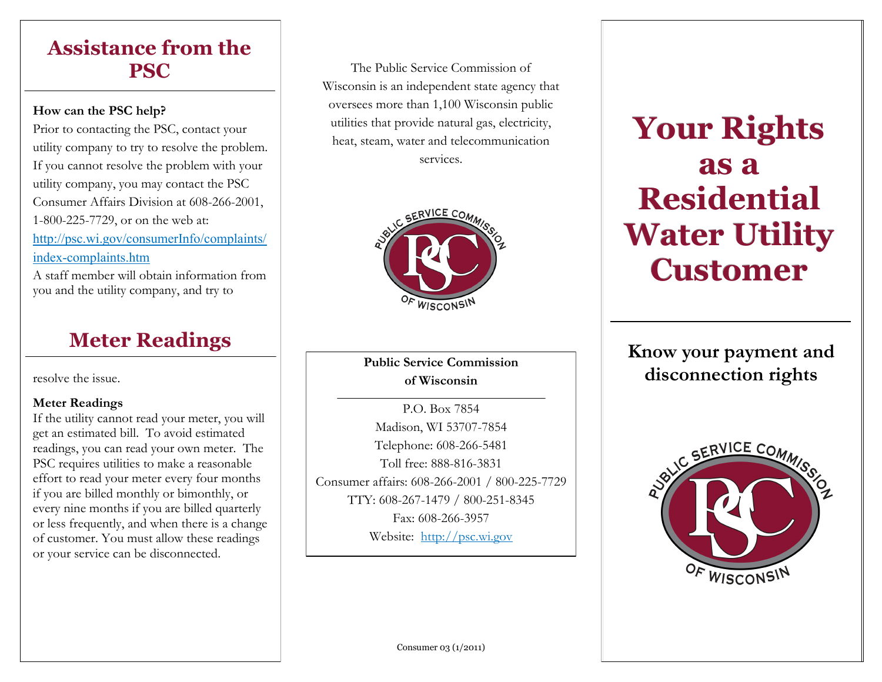## **Assistance from the PSC**

## **How can the PSC help?**

Prior to contacting the PSC, contact your utility company to try to resolve the problem. If you cannot resolve the problem with your utility company, you may contact the PSC Consumer Affairs Division at 608-266-2001, 1-800-225-7729, or on the web at: [http://psc.wi.gov/consumerInfo/complaints/](http://psc.wi.gov/consumerInfo/complaints/index-complaints.htm) index-[complaints.htm](http://psc.wi.gov/consumerInfo/complaints/index-complaints.htm) A staff member will obtain information from

you and the utility company, and try to

resolve the issue.

## **Meter Readings**

If the utility cannot read your meter, you will get an estimated bill. To avoid estimated readings, you can read your own meter. The PSC requires utilities to make a reasonable effort to read your meter every four months if you are billed monthly or bimonthly, or every nine months if you are billed quarterly or less frequently, and when there is a change of customer. You must allow these readings or your service can be disconnected.

The Public Service Commission of Wisconsin is an independent state agency that oversees more than 1,100 Wisconsin public utilities that provide natural gas, electricity, heat, steam, water and telecommunication services.



**Public Service Commission of Wisconsin** 

P.O. Box 7854 Madison, WI 53707-7854 Telephone: 608-266-5481 Toll free: 888-816-3831 Consumer affairs: 608-266-2001 / 800-225-7729 TTY: 608-267-1479 / 800-251-8345 Fax: 608-266-3957 Website: <http://psc.wi.gov>

# **Your Rights as a Residential Water Utility Customer**

**Meter Readings** *Know your payment and* **<b>Know your payment and disconnection rights** 



Consumer 03 (1/2011)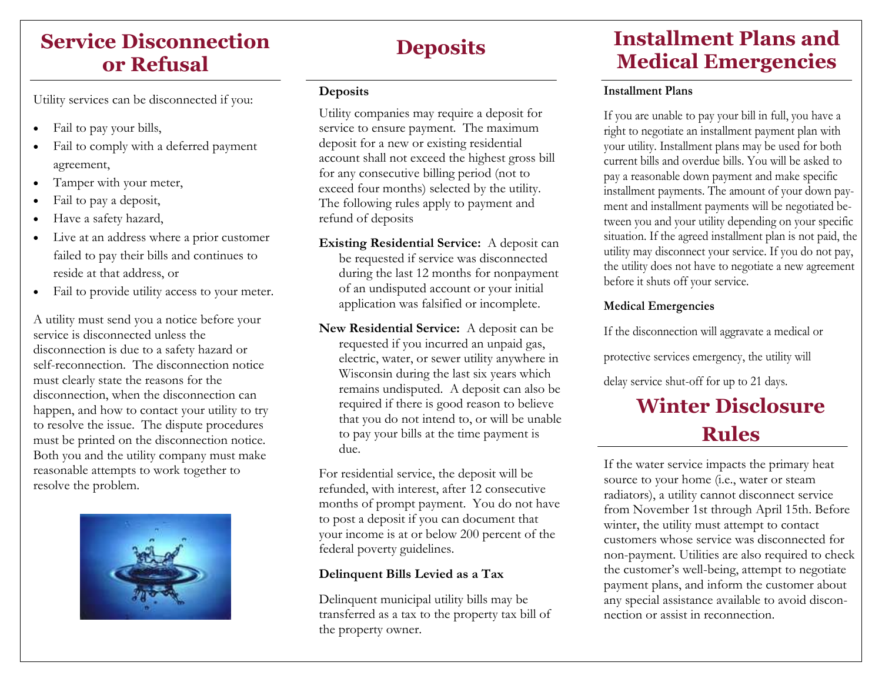## **Service Disconnection or Refusal**

Utility services can be disconnected if you:

- Fail to pay your bills,
- Fail to comply with a deferred payment agreement,
- Tamper with your meter,
- Fail to pay a deposit,
- Have a safety hazard,
- Live at an address where a prior customer failed to pay their bills and continues to reside at that address, or
- Fail to provide utility access to your meter.

A utility must send you a notice before your service is disconnected unless the disconnection is due to a safety hazard or self-reconnection. The disconnection notice must clearly state the reasons for the disconnection, when the disconnection can happen, and how to contact your utility to try to resolve the issue. The dispute procedures must be printed on the disconnection notice. Both you and the utility company must make reasonable attempts to work together to resolve the problem.



### **Deposits**

Utility companies may require a deposit for service to ensure payment. The maximum deposit for a new or existing residential account shall not exceed the highest gross bill for any consecutive billing period (not to exceed four months) selected by the utility. The following rules apply to payment and refund of deposits

- **Existing Residential Service:** A deposit can be requested if service was disconnected during the last 12 months for nonpayment of an undisputed account or your initial application was falsified or incomplete.
- **New Residential Service:** A deposit can be requested if you incurred an unpaid gas, electric, water, or sewer utility anywhere in Wisconsin during the last six years which remains undisputed. A deposit can also be required if there is good reason to believe that you do not intend to, or will be unable to pay your bills at the time payment is due.

For residential service, the deposit will be refunded, with interest, after 12 consecutive months of prompt payment. You do not have to post a deposit if you can document that your income is at or below 200 percent of the federal poverty guidelines.

## **Delinquent Bills Levied as a Tax**

Delinquent municipal utility bills may be transferred as a tax to the property tax bill of the property owner.

## **Deposits Installment Plans and Medical Emergencies**

## **Installment Plans**

If you are unable to pay your bill in full, you have a right to negotiate an installment payment plan with your utility. Installment plans may be used for both current bills and overdue bills. You will be asked to pay a reasonable down payment and make specific installment payments. The amount of your down payment and installment payments will be negotiated between you and your utility depending on your specific situation. If the agreed installment plan is not paid, the utility may disconnect your service. If you do not pay, the utility does not have to negotiate a new agreement before it shuts off your service.

## **Medical Emergencies**

If the disconnection will aggravate a medical or

protective services emergency, the utility will

delay service shut-off for up to 21 days.

## **Winter Disclosure Rules**

If the water service impacts the primary heat source to your home (i.e., water or steam radiators), a utility cannot disconnect service from November 1st through April 15th. Before winter, the utility must attempt to contact customers whose service was disconnected for non-payment. Utilities are also required to check the customer's well-being, attempt to negotiate payment plans, and inform the customer about any special assistance available to avoid disconnection or assist in reconnection.